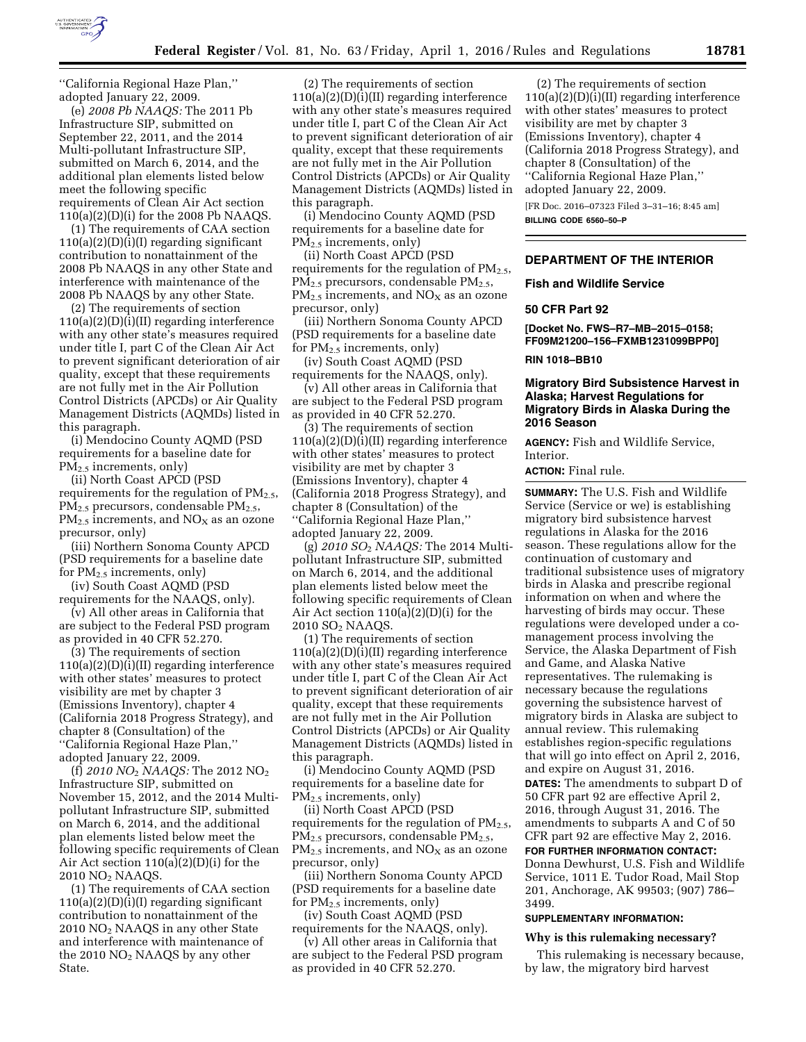

''California Regional Haze Plan,'' adopted January 22, 2009.

(e) *2008 Pb NAAQS:* The 2011 Pb Infrastructure SIP, submitted on September 22, 2011, and the 2014 Multi-pollutant Infrastructure SIP, submitted on March 6, 2014, and the additional plan elements listed below meet the following specific requirements of Clean Air Act section 110(a)(2)(D)(i) for the 2008 Pb NAAQS.

(1) The requirements of CAA section  $110(a)(2)(D)(i)(I)$  regarding significant contribution to nonattainment of the 2008 Pb NAAQS in any other State and interference with maintenance of the 2008 Pb NAAQS by any other State.

(2) The requirements of section 110(a)(2)(D)(i)(II) regarding interference with any other state's measures required under title I, part C of the Clean Air Act to prevent significant deterioration of air quality, except that these requirements are not fully met in the Air Pollution Control Districts (APCDs) or Air Quality Management Districts (AQMDs) listed in this paragraph.

(i) Mendocino County AQMD (PSD requirements for a baseline date for  $PM_{2.5}$  increments, only)

(ii) North Coast APCD (PSD requirements for the regulation of  $PM_{2.5}$ , PM<sub>2.5</sub> precursors, condensable PM<sub>2.5</sub>,  $PM_{2.5}$  increments, and  $NO<sub>X</sub>$  as an ozone precursor, only)

(iii) Northern Sonoma County APCD (PSD requirements for a baseline date for PM2.5 increments, only)

(iv) South Coast AQMD (PSD

requirements for the NAAQS, only). (v) All other areas in California that are subject to the Federal PSD program as provided in 40 CFR 52.270.

(3) The requirements of section 110(a)(2)(D)(i)(II) regarding interference with other states' measures to protect visibility are met by chapter 3 (Emissions Inventory), chapter 4 (California 2018 Progress Strategy), and chapter 8 (Consultation) of the ''California Regional Haze Plan,'' adopted January 22, 2009.

(f) *2010 NO*2 *NAAQS:* The 2012 NO2 Infrastructure SIP, submitted on November 15, 2012, and the 2014 Multipollutant Infrastructure SIP, submitted on March 6, 2014, and the additional plan elements listed below meet the following specific requirements of Clean Air Act section 110(a)(2)(D)(i) for the 2010 NO2 NAAQS.

(1) The requirements of CAA section  $110(a)(2)(D)(i)(I)$  regarding significant contribution to nonattainment of the 2010 NO2 NAAQS in any other State and interference with maintenance of the 2010 NO2 NAAQS by any other State.

(2) The requirements of section 110(a)(2)(D)(i)(II) regarding interference with any other state's measures required under title I, part C of the Clean Air Act to prevent significant deterioration of air quality, except that these requirements are not fully met in the Air Pollution Control Districts (APCDs) or Air Quality Management Districts (AQMDs) listed in this paragraph.

(i) Mendocino County AQMD (PSD requirements for a baseline date for PM2.5 increments, only)

(ii) North Coast APCD (PSD requirements for the regulation of  $PM_{2.5}$ ,  $PM_{2.5}$  precursors, condensable  $PM_{2.5}$ ,  $PM_{2.5}$  increments, and  $NO<sub>X</sub>$  as an ozone precursor, only)

(iii) Northern Sonoma County APCD (PSD requirements for a baseline date for  $PM_{2.5}$  increments, only)

(iv) South Coast AQMD (PSD requirements for the NAAQS, only).

(v) All other areas in California that are subject to the Federal PSD program as provided in 40 CFR 52.270.

(3) The requirements of section 110(a)(2)(D)(i)(II) regarding interference with other states' measures to protect visibility are met by chapter 3 (Emissions Inventory), chapter 4 (California 2018 Progress Strategy), and chapter 8 (Consultation) of the ''California Regional Haze Plan,'' adopted January 22, 2009.

(g) *2010 SO*2 *NAAQS:* The 2014 Multipollutant Infrastructure SIP, submitted on March 6, 2014, and the additional plan elements listed below meet the following specific requirements of Clean Air Act section 110(a)(2)(D)(i) for the 2010 SO2 NAAQS.

(1) The requirements of section 110(a)(2)(D)(i)(II) regarding interference with any other state's measures required under title I, part C of the Clean Air Act to prevent significant deterioration of air quality, except that these requirements are not fully met in the Air Pollution Control Districts (APCDs) or Air Quality Management Districts (AQMDs) listed in this paragraph.

(i) Mendocino County AQMD (PSD requirements for a baseline date for PM2.5 increments, only)

(ii) North Coast APCD (PSD requirements for the regulation of  $PM_{2.5}$ ,  $PM_{2.5}$  precursors, condensable  $PM_{2.5}$ ,  $PM_{2.5}$  increments, and  $NO<sub>X</sub>$  as an ozone precursor, only)

(iii) Northern Sonoma County APCD (PSD requirements for a baseline date for  $PM_{2.5}$  increments, only)

(iv) South Coast AQMD (PSD requirements for the NAAQS, only).

(v) All other areas in California that are subject to the Federal PSD program as provided in 40 CFR 52.270.

(2) The requirements of section 110(a)(2)(D)(i)(II) regarding interference with other states' measures to protect visibility are met by chapter 3 (Emissions Inventory), chapter 4 (California 2018 Progress Strategy), and chapter 8 (Consultation) of the ''California Regional Haze Plan,'' adopted January 22, 2009.

[FR Doc. 2016–07323 Filed 3–31–16; 8:45 am]

**BILLING CODE 6560–50–P** 

# **DEPARTMENT OF THE INTERIOR**

### **Fish and Wildlife Service**

# **50 CFR Part 92**

**[Docket No. FWS–R7–MB–2015–0158; FF09M21200–156–FXMB1231099BPP0]** 

#### **RIN 1018–BB10**

# **Migratory Bird Subsistence Harvest in Alaska; Harvest Regulations for Migratory Birds in Alaska During the 2016 Season**

**AGENCY:** Fish and Wildlife Service, Interior.

# **ACTION:** Final rule.

**SUMMARY:** The U.S. Fish and Wildlife Service (Service or we) is establishing migratory bird subsistence harvest regulations in Alaska for the 2016 season. These regulations allow for the continuation of customary and traditional subsistence uses of migratory birds in Alaska and prescribe regional information on when and where the harvesting of birds may occur. These regulations were developed under a comanagement process involving the Service, the Alaska Department of Fish and Game, and Alaska Native representatives. The rulemaking is necessary because the regulations governing the subsistence harvest of migratory birds in Alaska are subject to annual review. This rulemaking establishes region-specific regulations that will go into effect on April 2, 2016, and expire on August 31, 2016. **DATES:** The amendments to subpart D of 50 CFR part 92 are effective April 2, 2016, through August 31, 2016. The amendments to subparts A and C of 50 CFR part 92 are effective May 2, 2016.

**FOR FURTHER INFORMATION CONTACT:**  Donna Dewhurst, U.S. Fish and Wildlife Service, 1011 E. Tudor Road, Mail Stop 201, Anchorage, AK 99503; (907) 786– 3499.

#### **SUPPLEMENTARY INFORMATION:**

# **Why is this rulemaking necessary?**

This rulemaking is necessary because, by law, the migratory bird harvest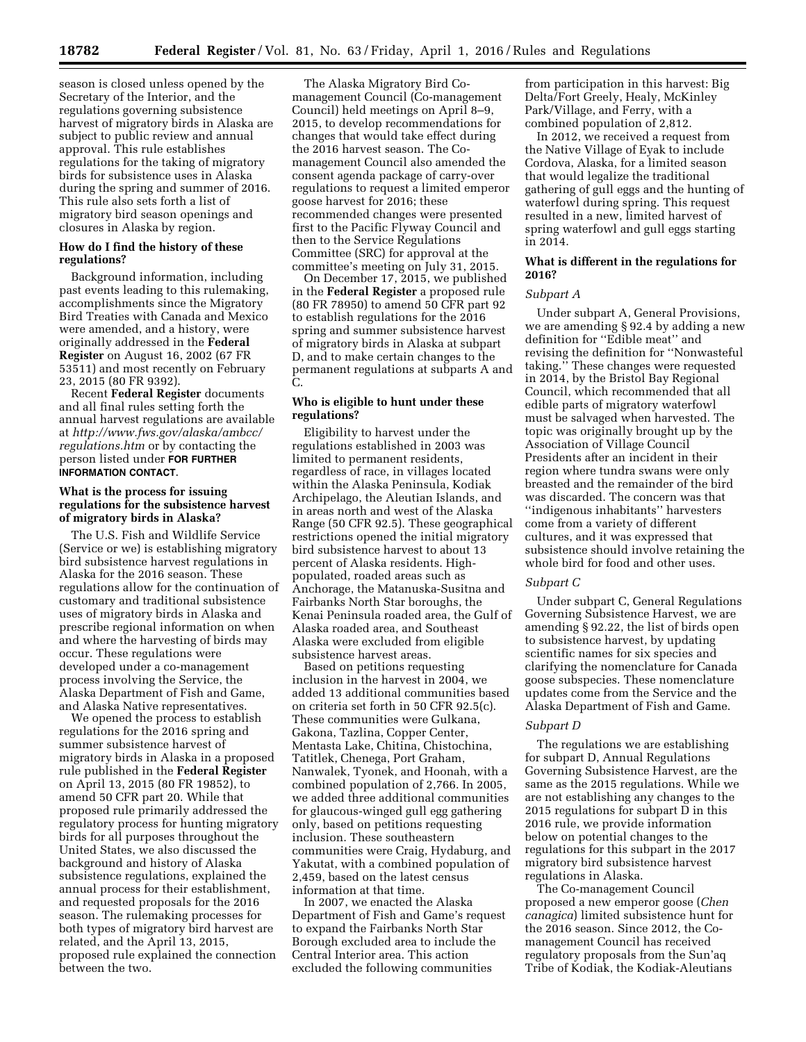season is closed unless opened by the Secretary of the Interior, and the regulations governing subsistence harvest of migratory birds in Alaska are subject to public review and annual approval. This rule establishes regulations for the taking of migratory birds for subsistence uses in Alaska during the spring and summer of 2016. This rule also sets forth a list of migratory bird season openings and closures in Alaska by region.

# **How do I find the history of these regulations?**

Background information, including past events leading to this rulemaking, accomplishments since the Migratory Bird Treaties with Canada and Mexico were amended, and a history, were originally addressed in the **Federal Register** on August 16, 2002 (67 FR 53511) and most recently on February 23, 2015 (80 FR 9392).

Recent **Federal Register** documents and all final rules setting forth the annual harvest regulations are available at *[http://www.fws.gov/alaska/ambcc/](http://www.fws.gov/alaska/ambcc/regulations.htm) [regulations.htm](http://www.fws.gov/alaska/ambcc/regulations.htm)* or by contacting the person listed under **FOR FURTHER INFORMATION CONTACT**.

# **What is the process for issuing regulations for the subsistence harvest of migratory birds in Alaska?**

The U.S. Fish and Wildlife Service (Service or we) is establishing migratory bird subsistence harvest regulations in Alaska for the 2016 season. These regulations allow for the continuation of customary and traditional subsistence uses of migratory birds in Alaska and prescribe regional information on when and where the harvesting of birds may occur. These regulations were developed under a co-management process involving the Service, the Alaska Department of Fish and Game, and Alaska Native representatives.

We opened the process to establish regulations for the 2016 spring and summer subsistence harvest of migratory birds in Alaska in a proposed rule published in the **Federal Register**  on April 13, 2015 (80 FR 19852), to amend 50 CFR part 20. While that proposed rule primarily addressed the regulatory process for hunting migratory birds for all purposes throughout the United States, we also discussed the background and history of Alaska subsistence regulations, explained the annual process for their establishment, and requested proposals for the 2016 season. The rulemaking processes for both types of migratory bird harvest are related, and the April 13, 2015, proposed rule explained the connection between the two.

The Alaska Migratory Bird Comanagement Council (Co-management Council) held meetings on April 8–9, 2015, to develop recommendations for changes that would take effect during the 2016 harvest season. The Comanagement Council also amended the consent agenda package of carry-over regulations to request a limited emperor goose harvest for 2016; these recommended changes were presented first to the Pacific Flyway Council and then to the Service Regulations Committee (SRC) for approval at the committee's meeting on July 31, 2015.

On December 17, 2015, we published in the **Federal Register** a proposed rule (80 FR 78950) to amend 50 CFR part 92 to establish regulations for the 2016 spring and summer subsistence harvest of migratory birds in Alaska at subpart D, and to make certain changes to the permanent regulations at subparts A and C.

# **Who is eligible to hunt under these regulations?**

Eligibility to harvest under the regulations established in 2003 was limited to permanent residents, regardless of race, in villages located within the Alaska Peninsula, Kodiak Archipelago, the Aleutian Islands, and in areas north and west of the Alaska Range (50 CFR 92.5). These geographical restrictions opened the initial migratory bird subsistence harvest to about 13 percent of Alaska residents. Highpopulated, roaded areas such as Anchorage, the Matanuska-Susitna and Fairbanks North Star boroughs, the Kenai Peninsula roaded area, the Gulf of Alaska roaded area, and Southeast Alaska were excluded from eligible subsistence harvest areas.

Based on petitions requesting inclusion in the harvest in 2004, we added 13 additional communities based on criteria set forth in 50 CFR 92.5(c). These communities were Gulkana, Gakona, Tazlina, Copper Center, Mentasta Lake, Chitina, Chistochina, Tatitlek, Chenega, Port Graham, Nanwalek, Tyonek, and Hoonah, with a combined population of 2,766. In 2005, we added three additional communities for glaucous-winged gull egg gathering only, based on petitions requesting inclusion. These southeastern communities were Craig, Hydaburg, and Yakutat, with a combined population of 2,459, based on the latest census information at that time.

In 2007, we enacted the Alaska Department of Fish and Game's request to expand the Fairbanks North Star Borough excluded area to include the Central Interior area. This action excluded the following communities

from participation in this harvest: Big Delta/Fort Greely, Healy, McKinley Park/Village, and Ferry, with a combined population of 2,812.

In 2012, we received a request from the Native Village of Eyak to include Cordova, Alaska, for a limited season that would legalize the traditional gathering of gull eggs and the hunting of waterfowl during spring. This request resulted in a new, limited harvest of spring waterfowl and gull eggs starting in 2014.

# **What is different in the regulations for 2016?**

# *Subpart A*

Under subpart A, General Provisions, we are amending § 92.4 by adding a new definition for ''Edible meat'' and revising the definition for ''Nonwasteful taking.'' These changes were requested in 2014, by the Bristol Bay Regional Council, which recommended that all edible parts of migratory waterfowl must be salvaged when harvested. The topic was originally brought up by the Association of Village Council Presidents after an incident in their region where tundra swans were only breasted and the remainder of the bird was discarded. The concern was that ''indigenous inhabitants'' harvesters come from a variety of different cultures, and it was expressed that subsistence should involve retaining the whole bird for food and other uses.

## *Subpart C*

Under subpart C, General Regulations Governing Subsistence Harvest, we are amending § 92.22, the list of birds open to subsistence harvest, by updating scientific names for six species and clarifying the nomenclature for Canada goose subspecies. These nomenclature updates come from the Service and the Alaska Department of Fish and Game.

#### *Subpart D*

The regulations we are establishing for subpart D, Annual Regulations Governing Subsistence Harvest, are the same as the 2015 regulations. While we are not establishing any changes to the 2015 regulations for subpart D in this 2016 rule, we provide information below on potential changes to the regulations for this subpart in the 2017 migratory bird subsistence harvest regulations in Alaska.

The Co-management Council proposed a new emperor goose (*Chen canagica*) limited subsistence hunt for the 2016 season. Since 2012, the Comanagement Council has received regulatory proposals from the Sun'aq Tribe of Kodiak, the Kodiak-Aleutians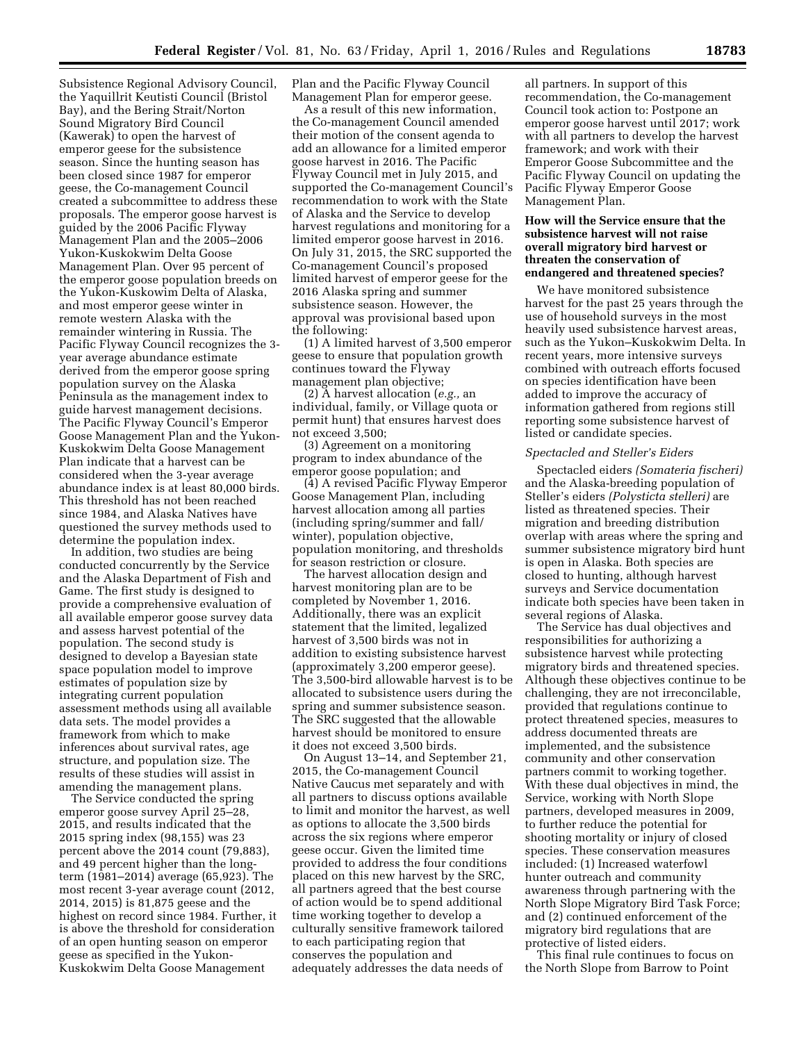Subsistence Regional Advisory Council, the Yaquillrit Keutisti Council (Bristol Bay), and the Bering Strait/Norton Sound Migratory Bird Council (Kawerak) to open the harvest of emperor geese for the subsistence season. Since the hunting season has been closed since 1987 for emperor geese, the Co-management Council created a subcommittee to address these proposals. The emperor goose harvest is guided by the 2006 Pacific Flyway Management Plan and the 2005–2006 Yukon-Kuskokwim Delta Goose Management Plan. Over 95 percent of the emperor goose population breeds on the Yukon-Kuskowim Delta of Alaska, and most emperor geese winter in remote western Alaska with the remainder wintering in Russia. The Pacific Flyway Council recognizes the 3 year average abundance estimate derived from the emperor goose spring population survey on the Alaska Peninsula as the management index to guide harvest management decisions. The Pacific Flyway Council's Emperor Goose Management Plan and the Yukon-Kuskokwim Delta Goose Management Plan indicate that a harvest can be considered when the 3-year average abundance index is at least 80,000 birds. This threshold has not been reached since 1984, and Alaska Natives have questioned the survey methods used to determine the population index.

In addition, two studies are being conducted concurrently by the Service and the Alaska Department of Fish and Game. The first study is designed to provide a comprehensive evaluation of all available emperor goose survey data and assess harvest potential of the population. The second study is designed to develop a Bayesian state space population model to improve estimates of population size by integrating current population assessment methods using all available data sets. The model provides a framework from which to make inferences about survival rates, age structure, and population size. The results of these studies will assist in amending the management plans.

The Service conducted the spring emperor goose survey April 25–28, 2015, and results indicated that the 2015 spring index (98,155) was 23 percent above the 2014 count (79,883), and 49 percent higher than the longterm (1981–2014) average (65,923). The most recent 3-year average count (2012, 2014, 2015) is 81,875 geese and the highest on record since 1984. Further, it is above the threshold for consideration of an open hunting season on emperor geese as specified in the Yukon-Kuskokwim Delta Goose Management

Plan and the Pacific Flyway Council Management Plan for emperor geese.

As a result of this new information, the Co-management Council amended their motion of the consent agenda to add an allowance for a limited emperor goose harvest in 2016. The Pacific Flyway Council met in July 2015, and supported the Co-management Council's recommendation to work with the State of Alaska and the Service to develop harvest regulations and monitoring for a limited emperor goose harvest in 2016. On July 31, 2015, the SRC supported the Co-management Council's proposed limited harvest of emperor geese for the 2016 Alaska spring and summer subsistence season. However, the approval was provisional based upon the following:

(1) A limited harvest of 3,500 emperor geese to ensure that population growth continues toward the Flyway management plan objective;

(2) A harvest allocation (*e.g.,* an individual, family, or Village quota or permit hunt) that ensures harvest does not exceed 3,500;

(3) Agreement on a monitoring program to index abundance of the emperor goose population; and

(4) A revised Pacific Flyway Emperor Goose Management Plan, including harvest allocation among all parties (including spring/summer and fall/ winter), population objective, population monitoring, and thresholds for season restriction or closure.

The harvest allocation design and harvest monitoring plan are to be completed by November 1, 2016. Additionally, there was an explicit statement that the limited, legalized harvest of 3,500 birds was not in addition to existing subsistence harvest (approximately 3,200 emperor geese). The 3,500-bird allowable harvest is to be allocated to subsistence users during the spring and summer subsistence season. The SRC suggested that the allowable harvest should be monitored to ensure it does not exceed 3,500 birds.

On August 13–14, and September 21, 2015, the Co-management Council Native Caucus met separately and with all partners to discuss options available to limit and monitor the harvest, as well as options to allocate the 3,500 birds across the six regions where emperor geese occur. Given the limited time provided to address the four conditions placed on this new harvest by the SRC, all partners agreed that the best course of action would be to spend additional time working together to develop a culturally sensitive framework tailored to each participating region that conserves the population and adequately addresses the data needs of

all partners. In support of this recommendation, the Co-management Council took action to: Postpone an emperor goose harvest until 2017; work with all partners to develop the harvest framework; and work with their Emperor Goose Subcommittee and the Pacific Flyway Council on updating the Pacific Flyway Emperor Goose Management Plan.

# **How will the Service ensure that the subsistence harvest will not raise overall migratory bird harvest or threaten the conservation of endangered and threatened species?**

We have monitored subsistence harvest for the past 25 years through the use of household surveys in the most heavily used subsistence harvest areas, such as the Yukon–Kuskokwim Delta. In recent years, more intensive surveys combined with outreach efforts focused on species identification have been added to improve the accuracy of information gathered from regions still reporting some subsistence harvest of listed or candidate species.

# *Spectacled and Steller's Eiders*

Spectacled eiders *(Somateria fischeri)*  and the Alaska-breeding population of Steller's eiders *(Polysticta stelleri)* are listed as threatened species. Their migration and breeding distribution overlap with areas where the spring and summer subsistence migratory bird hunt is open in Alaska. Both species are closed to hunting, although harvest surveys and Service documentation indicate both species have been taken in several regions of Alaska.

The Service has dual objectives and responsibilities for authorizing a subsistence harvest while protecting migratory birds and threatened species. Although these objectives continue to be challenging, they are not irreconcilable, provided that regulations continue to protect threatened species, measures to address documented threats are implemented, and the subsistence community and other conservation partners commit to working together. With these dual objectives in mind, the Service, working with North Slope partners, developed measures in 2009, to further reduce the potential for shooting mortality or injury of closed species. These conservation measures included: (1) Increased waterfowl hunter outreach and community awareness through partnering with the North Slope Migratory Bird Task Force; and (2) continued enforcement of the migratory bird regulations that are protective of listed eiders.

This final rule continues to focus on the North Slope from Barrow to Point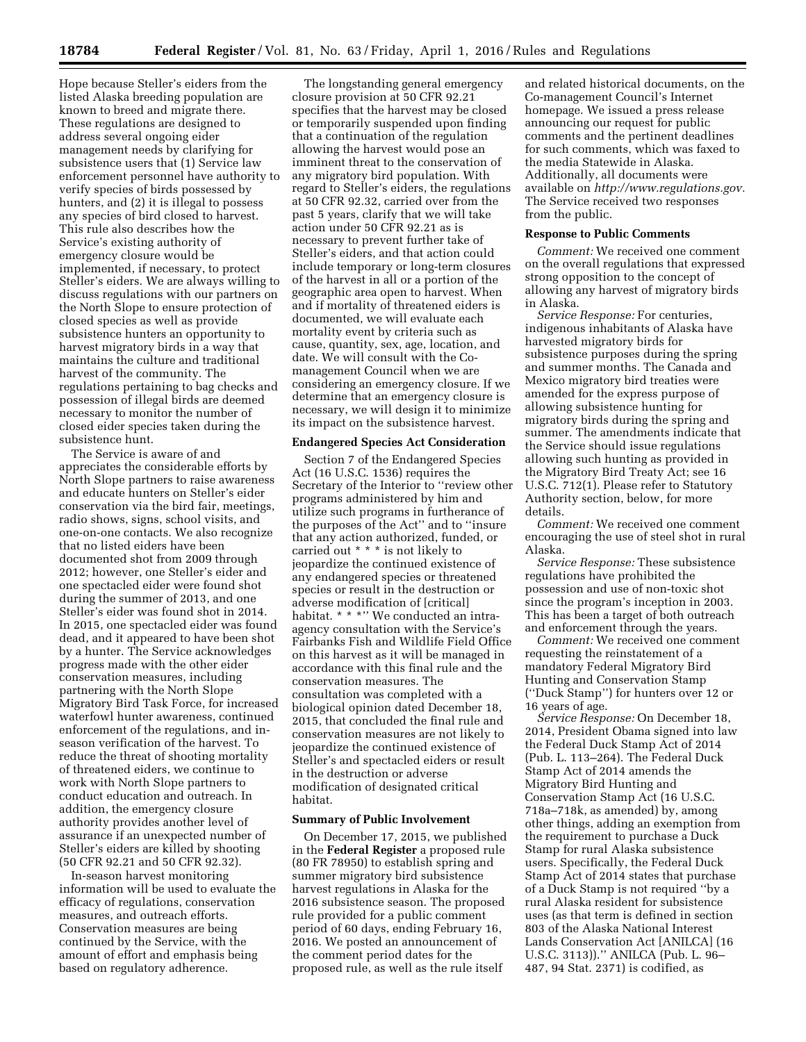Hope because Steller's eiders from the listed Alaska breeding population are known to breed and migrate there. These regulations are designed to address several ongoing eider management needs by clarifying for subsistence users that (1) Service law enforcement personnel have authority to verify species of birds possessed by hunters, and (2) it is illegal to possess any species of bird closed to harvest. This rule also describes how the Service's existing authority of emergency closure would be implemented, if necessary, to protect Steller's eiders. We are always willing to discuss regulations with our partners on the North Slope to ensure protection of closed species as well as provide subsistence hunters an opportunity to harvest migratory birds in a way that maintains the culture and traditional harvest of the community. The regulations pertaining to bag checks and possession of illegal birds are deemed necessary to monitor the number of closed eider species taken during the subsistence hunt.

The Service is aware of and appreciates the considerable efforts by North Slope partners to raise awareness and educate hunters on Steller's eider conservation via the bird fair, meetings, radio shows, signs, school visits, and one-on-one contacts. We also recognize that no listed eiders have been documented shot from 2009 through 2012; however, one Steller's eider and one spectacled eider were found shot during the summer of 2013, and one Steller's eider was found shot in 2014. In 2015, one spectacled eider was found dead, and it appeared to have been shot by a hunter. The Service acknowledges progress made with the other eider conservation measures, including partnering with the North Slope Migratory Bird Task Force, for increased waterfowl hunter awareness, continued enforcement of the regulations, and inseason verification of the harvest. To reduce the threat of shooting mortality of threatened eiders, we continue to work with North Slope partners to conduct education and outreach. In addition, the emergency closure authority provides another level of assurance if an unexpected number of Steller's eiders are killed by shooting (50 CFR 92.21 and 50 CFR 92.32).

In-season harvest monitoring information will be used to evaluate the efficacy of regulations, conservation measures, and outreach efforts. Conservation measures are being continued by the Service, with the amount of effort and emphasis being based on regulatory adherence.

The longstanding general emergency closure provision at 50 CFR 92.21 specifies that the harvest may be closed or temporarily suspended upon finding that a continuation of the regulation allowing the harvest would pose an imminent threat to the conservation of any migratory bird population. With regard to Steller's eiders, the regulations at 50 CFR 92.32, carried over from the past 5 years, clarify that we will take action under 50 CFR 92.21 as is necessary to prevent further take of Steller's eiders, and that action could include temporary or long-term closures of the harvest in all or a portion of the geographic area open to harvest. When and if mortality of threatened eiders is documented, we will evaluate each mortality event by criteria such as cause, quantity, sex, age, location, and date. We will consult with the Comanagement Council when we are considering an emergency closure. If we determine that an emergency closure is necessary, we will design it to minimize its impact on the subsistence harvest.

### **Endangered Species Act Consideration**

Section 7 of the Endangered Species Act (16 U.S.C. 1536) requires the Secretary of the Interior to ''review other programs administered by him and utilize such programs in furtherance of the purposes of the Act'' and to ''insure that any action authorized, funded, or carried out \* \* \* is not likely to jeopardize the continued existence of any endangered species or threatened species or result in the destruction or adverse modification of [critical] habitat. \* \* \*'' We conducted an intraagency consultation with the Service's Fairbanks Fish and Wildlife Field Office on this harvest as it will be managed in accordance with this final rule and the conservation measures. The consultation was completed with a biological opinion dated December 18, 2015, that concluded the final rule and conservation measures are not likely to jeopardize the continued existence of Steller's and spectacled eiders or result in the destruction or adverse modification of designated critical habitat.

# **Summary of Public Involvement**

On December 17, 2015, we published in the **Federal Register** a proposed rule (80 FR 78950) to establish spring and summer migratory bird subsistence harvest regulations in Alaska for the 2016 subsistence season. The proposed rule provided for a public comment period of 60 days, ending February 16, 2016. We posted an announcement of the comment period dates for the proposed rule, as well as the rule itself

and related historical documents, on the Co-management Council's Internet homepage. We issued a press release announcing our request for public comments and the pertinent deadlines for such comments, which was faxed to the media Statewide in Alaska. Additionally, all documents were available on *[http://www.regulations.gov.](http://www.regulations.gov)*  The Service received two responses from the public.

#### **Response to Public Comments**

*Comment:* We received one comment on the overall regulations that expressed strong opposition to the concept of allowing any harvest of migratory birds in Alaska.

*Service Response:* For centuries, indigenous inhabitants of Alaska have harvested migratory birds for subsistence purposes during the spring and summer months. The Canada and Mexico migratory bird treaties were amended for the express purpose of allowing subsistence hunting for migratory birds during the spring and summer. The amendments indicate that the Service should issue regulations allowing such hunting as provided in the Migratory Bird Treaty Act; see 16 U.S.C. 712(1). Please refer to Statutory Authority section, below, for more details.

*Comment:* We received one comment encouraging the use of steel shot in rural Alaska.

*Service Response:* These subsistence regulations have prohibited the possession and use of non-toxic shot since the program's inception in 2003. This has been a target of both outreach and enforcement through the years.

*Comment:* We received one comment requesting the reinstatement of a mandatory Federal Migratory Bird Hunting and Conservation Stamp (''Duck Stamp'') for hunters over 12 or 16 years of age.

*Service Response:* On December 18, 2014, President Obama signed into law the Federal Duck Stamp Act of 2014 (Pub. L. 113–264). The Federal Duck Stamp Act of 2014 amends the Migratory Bird Hunting and Conservation Stamp Act (16 U.S.C. 718a–718k, as amended) by, among other things, adding an exemption from the requirement to purchase a Duck Stamp for rural Alaska subsistence users. Specifically, the Federal Duck Stamp Act of 2014 states that purchase of a Duck Stamp is not required ''by a rural Alaska resident for subsistence uses (as that term is defined in section 803 of the Alaska National Interest Lands Conservation Act [ANILCA] (16 U.S.C. 3113)).'' ANILCA (Pub. L. 96– 487, 94 Stat. 2371) is codified, as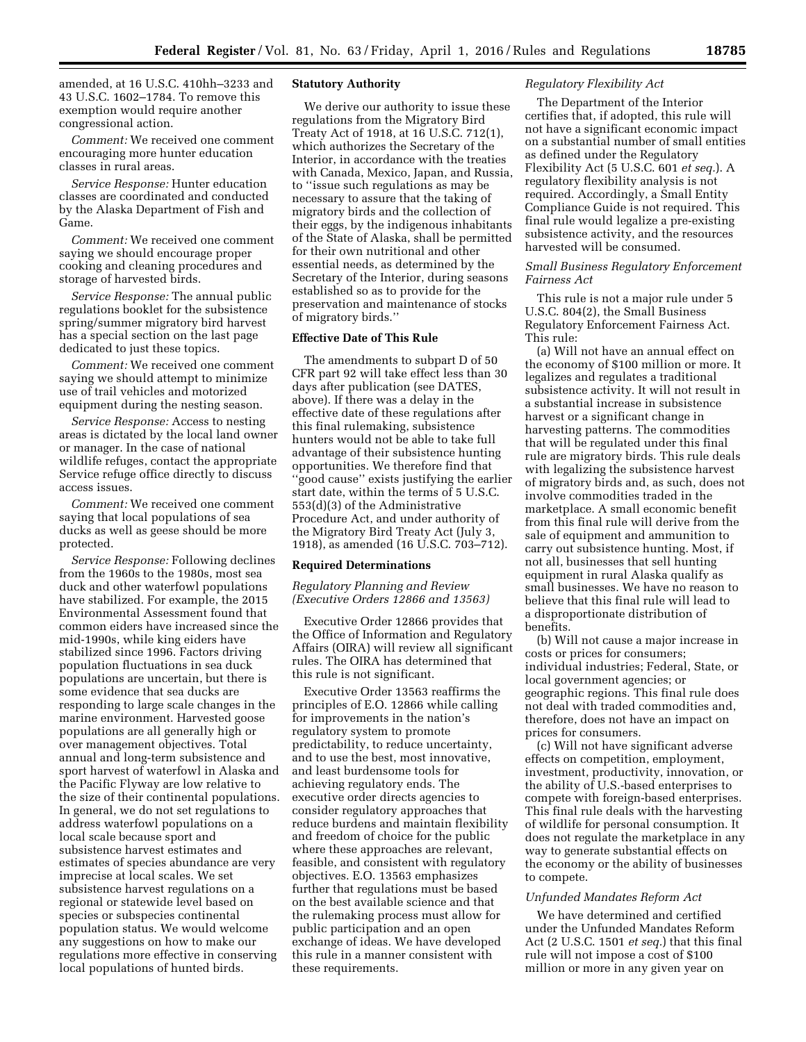amended, at 16 U.S.C. 410hh–3233 and 43 U.S.C. 1602–1784. To remove this exemption would require another congressional action.

*Comment:* We received one comment encouraging more hunter education classes in rural areas.

*Service Response:* Hunter education classes are coordinated and conducted by the Alaska Department of Fish and Game.

*Comment:* We received one comment saying we should encourage proper cooking and cleaning procedures and storage of harvested birds.

*Service Response:* The annual public regulations booklet for the subsistence spring/summer migratory bird harvest has a special section on the last page dedicated to just these topics.

*Comment:* We received one comment saying we should attempt to minimize use of trail vehicles and motorized equipment during the nesting season.

*Service Response:* Access to nesting areas is dictated by the local land owner or manager. In the case of national wildlife refuges, contact the appropriate Service refuge office directly to discuss access issues.

*Comment:* We received one comment saying that local populations of sea ducks as well as geese should be more protected.

*Service Response:* Following declines from the 1960s to the 1980s, most sea duck and other waterfowl populations have stabilized. For example, the 2015 Environmental Assessment found that common eiders have increased since the mid-1990s, while king eiders have stabilized since 1996. Factors driving population fluctuations in sea duck populations are uncertain, but there is some evidence that sea ducks are responding to large scale changes in the marine environment. Harvested goose populations are all generally high or over management objectives. Total annual and long-term subsistence and sport harvest of waterfowl in Alaska and the Pacific Flyway are low relative to the size of their continental populations. In general, we do not set regulations to address waterfowl populations on a local scale because sport and subsistence harvest estimates and estimates of species abundance are very imprecise at local scales. We set subsistence harvest regulations on a regional or statewide level based on species or subspecies continental population status. We would welcome any suggestions on how to make our regulations more effective in conserving local populations of hunted birds.

# **Statutory Authority**

We derive our authority to issue these regulations from the Migratory Bird Treaty Act of 1918, at 16 U.S.C. 712(1), which authorizes the Secretary of the Interior, in accordance with the treaties with Canada, Mexico, Japan, and Russia, to ''issue such regulations as may be necessary to assure that the taking of migratory birds and the collection of their eggs, by the indigenous inhabitants of the State of Alaska, shall be permitted for their own nutritional and other essential needs, as determined by the Secretary of the Interior, during seasons established so as to provide for the preservation and maintenance of stocks of migratory birds.''

# **Effective Date of This Rule**

The amendments to subpart D of 50 CFR part 92 will take effect less than 30 days after publication (see DATES, above). If there was a delay in the effective date of these regulations after this final rulemaking, subsistence hunters would not be able to take full advantage of their subsistence hunting opportunities. We therefore find that ''good cause'' exists justifying the earlier start date, within the terms of 5 U.S.C. 553(d)(3) of the Administrative Procedure Act, and under authority of the Migratory Bird Treaty Act (July 3, 1918), as amended (16 U.S.C. 703–712).

#### **Required Determinations**

*Regulatory Planning and Review (Executive Orders 12866 and 13563)* 

Executive Order 12866 provides that the Office of Information and Regulatory Affairs (OIRA) will review all significant rules. The OIRA has determined that this rule is not significant.

Executive Order 13563 reaffirms the principles of E.O. 12866 while calling for improvements in the nation's regulatory system to promote predictability, to reduce uncertainty, and to use the best, most innovative, and least burdensome tools for achieving regulatory ends. The executive order directs agencies to consider regulatory approaches that reduce burdens and maintain flexibility and freedom of choice for the public where these approaches are relevant, feasible, and consistent with regulatory objectives. E.O. 13563 emphasizes further that regulations must be based on the best available science and that the rulemaking process must allow for public participation and an open exchange of ideas. We have developed this rule in a manner consistent with these requirements.

#### *Regulatory Flexibility Act*

The Department of the Interior certifies that, if adopted, this rule will not have a significant economic impact on a substantial number of small entities as defined under the Regulatory Flexibility Act (5 U.S.C. 601 *et seq.*). A regulatory flexibility analysis is not required. Accordingly, a Small Entity Compliance Guide is not required. This final rule would legalize a pre-existing subsistence activity, and the resources harvested will be consumed.

*Small Business Regulatory Enforcement Fairness Act* 

This rule is not a major rule under 5 U.S.C. 804(2), the Small Business Regulatory Enforcement Fairness Act. This rule:

(a) Will not have an annual effect on the economy of \$100 million or more. It legalizes and regulates a traditional subsistence activity. It will not result in a substantial increase in subsistence harvest or a significant change in harvesting patterns. The commodities that will be regulated under this final rule are migratory birds. This rule deals with legalizing the subsistence harvest of migratory birds and, as such, does not involve commodities traded in the marketplace. A small economic benefit from this final rule will derive from the sale of equipment and ammunition to carry out subsistence hunting. Most, if not all, businesses that sell hunting equipment in rural Alaska qualify as small businesses. We have no reason to believe that this final rule will lead to a disproportionate distribution of benefits.

(b) Will not cause a major increase in costs or prices for consumers; individual industries; Federal, State, or local government agencies; or geographic regions. This final rule does not deal with traded commodities and, therefore, does not have an impact on prices for consumers.

(c) Will not have significant adverse effects on competition, employment, investment, productivity, innovation, or the ability of U.S.-based enterprises to compete with foreign-based enterprises. This final rule deals with the harvesting of wildlife for personal consumption. It does not regulate the marketplace in any way to generate substantial effects on the economy or the ability of businesses to compete.

#### *Unfunded Mandates Reform Act*

We have determined and certified under the Unfunded Mandates Reform Act (2 U.S.C. 1501 *et seq.*) that this final rule will not impose a cost of \$100 million or more in any given year on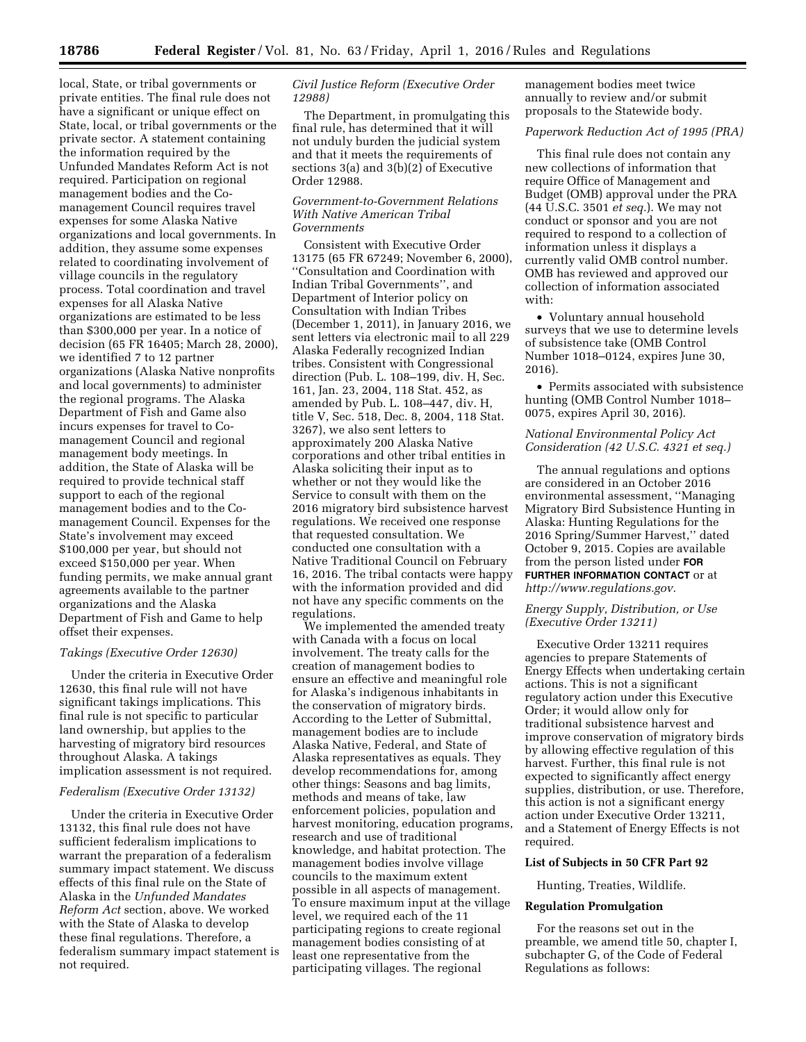local, State, or tribal governments or private entities. The final rule does not have a significant or unique effect on State, local, or tribal governments or the private sector. A statement containing the information required by the Unfunded Mandates Reform Act is not required. Participation on regional management bodies and the Comanagement Council requires travel expenses for some Alaska Native organizations and local governments. In addition, they assume some expenses related to coordinating involvement of village councils in the regulatory process. Total coordination and travel expenses for all Alaska Native organizations are estimated to be less than \$300,000 per year. In a notice of decision (65 FR 16405; March 28, 2000), we identified 7 to 12 partner organizations (Alaska Native nonprofits and local governments) to administer the regional programs. The Alaska Department of Fish and Game also incurs expenses for travel to Comanagement Council and regional management body meetings. In addition, the State of Alaska will be required to provide technical staff support to each of the regional management bodies and to the Comanagement Council. Expenses for the State's involvement may exceed \$100,000 per year, but should not exceed \$150,000 per year. When funding permits, we make annual grant agreements available to the partner organizations and the Alaska Department of Fish and Game to help offset their expenses.

#### *Takings (Executive Order 12630)*

Under the criteria in Executive Order 12630, this final rule will not have significant takings implications. This final rule is not specific to particular land ownership, but applies to the harvesting of migratory bird resources throughout Alaska. A takings implication assessment is not required.

### *Federalism (Executive Order 13132)*

Under the criteria in Executive Order 13132, this final rule does not have sufficient federalism implications to warrant the preparation of a federalism summary impact statement. We discuss effects of this final rule on the State of Alaska in the *Unfunded Mandates Reform Act* section, above. We worked with the State of Alaska to develop these final regulations. Therefore, a federalism summary impact statement is not required.

# *Civil Justice Reform (Executive Order 12988)*

The Department, in promulgating this final rule, has determined that it will not unduly burden the judicial system and that it meets the requirements of sections 3(a) and 3(b)(2) of Executive Order 12988.

## *Government-to-Government Relations With Native American Tribal Governments*

Consistent with Executive Order 13175 (65 FR 67249; November 6, 2000), ''Consultation and Coordination with Indian Tribal Governments'', and Department of Interior policy on Consultation with Indian Tribes (December 1, 2011), in January 2016, we sent letters via electronic mail to all 229 Alaska Federally recognized Indian tribes. Consistent with Congressional direction (Pub. L. 108–199, div. H, Sec. 161, Jan. 23, 2004, 118 Stat. 452, as amended by Pub. L. 108–447, div. H, title V, Sec. 518, Dec. 8, 2004, 118 Stat. 3267), we also sent letters to approximately 200 Alaska Native corporations and other tribal entities in Alaska soliciting their input as to whether or not they would like the Service to consult with them on the 2016 migratory bird subsistence harvest regulations. We received one response that requested consultation. We conducted one consultation with a Native Traditional Council on February 16, 2016. The tribal contacts were happy with the information provided and did not have any specific comments on the regulations.

We implemented the amended treaty with Canada with a focus on local involvement. The treaty calls for the creation of management bodies to ensure an effective and meaningful role for Alaska's indigenous inhabitants in the conservation of migratory birds. According to the Letter of Submittal, management bodies are to include Alaska Native, Federal, and State of Alaska representatives as equals. They develop recommendations for, among other things: Seasons and bag limits, methods and means of take, law enforcement policies, population and harvest monitoring, education programs, research and use of traditional knowledge, and habitat protection. The management bodies involve village councils to the maximum extent possible in all aspects of management. To ensure maximum input at the village level, we required each of the 11 participating regions to create regional management bodies consisting of at least one representative from the participating villages. The regional

management bodies meet twice annually to review and/or submit proposals to the Statewide body.

#### *Paperwork Reduction Act of 1995 (PRA)*

This final rule does not contain any new collections of information that require Office of Management and Budget (OMB) approval under the PRA (44 U.S.C. 3501 *et seq.*). We may not conduct or sponsor and you are not required to respond to a collection of information unless it displays a currently valid OMB control number. OMB has reviewed and approved our collection of information associated with:

• Voluntary annual household surveys that we use to determine levels of subsistence take (OMB Control Number 1018–0124, expires June 30, 2016).

• Permits associated with subsistence hunting (OMB Control Number 1018– 0075, expires April 30, 2016).

*National Environmental Policy Act Consideration (42 U.S.C. 4321 et seq.)* 

The annual regulations and options are considered in an October 2016 environmental assessment, ''Managing Migratory Bird Subsistence Hunting in Alaska: Hunting Regulations for the 2016 Spring/Summer Harvest,'' dated October 9, 2015. Copies are available from the person listed under **FOR FURTHER INFORMATION CONTACT** or at *[http://www.regulations.gov.](http://www.regulations.gov)* 

*Energy Supply, Distribution, or Use (Executive Order 13211)* 

Executive Order 13211 requires agencies to prepare Statements of Energy Effects when undertaking certain actions. This is not a significant regulatory action under this Executive Order; it would allow only for traditional subsistence harvest and improve conservation of migratory birds by allowing effective regulation of this harvest. Further, this final rule is not expected to significantly affect energy supplies, distribution, or use. Therefore, this action is not a significant energy action under Executive Order 13211, and a Statement of Energy Effects is not required.

## **List of Subjects in 50 CFR Part 92**

Hunting, Treaties, Wildlife.

# **Regulation Promulgation**

For the reasons set out in the preamble, we amend title 50, chapter I, subchapter G, of the Code of Federal Regulations as follows: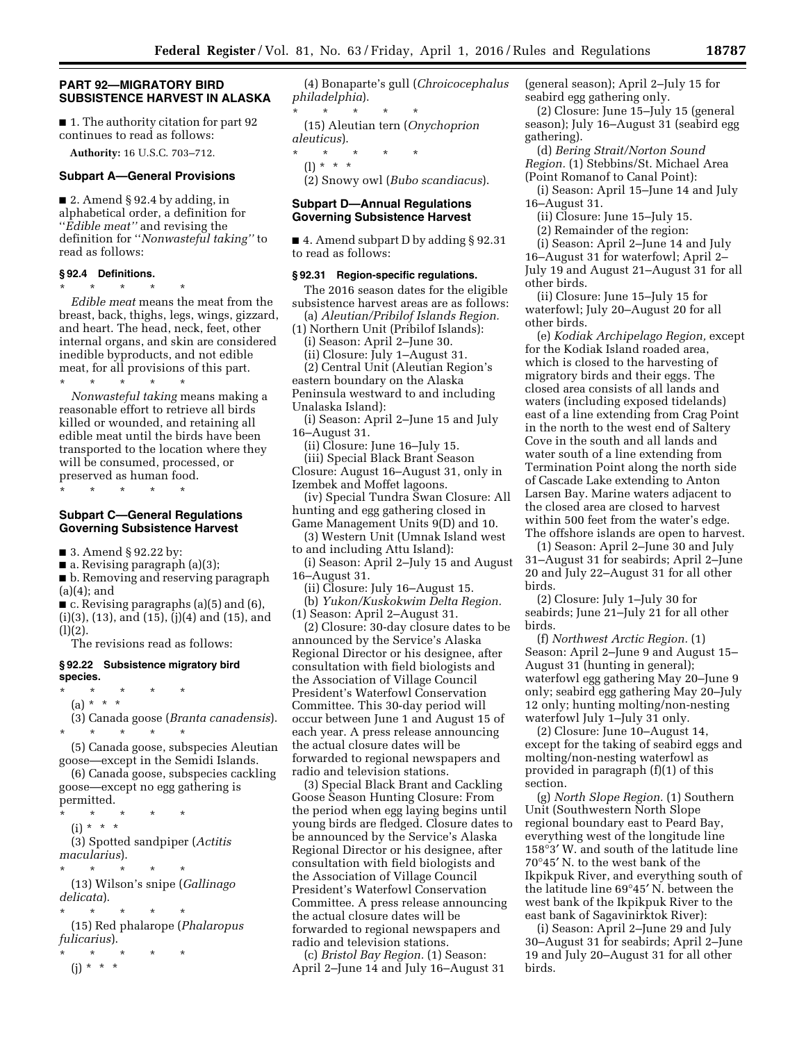# **PART 92—MIGRATORY BIRD SUBSISTENCE HARVEST IN ALASKA**

■ 1. The authority citation for part 92 continues to read as follows:

**Authority:** 16 U.S.C. 703–712.

#### **Subpart A—General Provisions**

■ 2. Amend § 92.4 by adding, in alphabetical order, a definition for ''*Edible meat''* and revising the definition for ''*Nonwasteful taking''* to read as follows:

# **§ 92.4 Definitions.**

\* \* \* \* \*

*Edible meat* means the meat from the breast, back, thighs, legs, wings, gizzard, and heart. The head, neck, feet, other internal organs, and skin are considered inedible byproducts, and not edible meat, for all provisions of this part.

\* \* \* \* \* *Nonwasteful taking* means making a reasonable effort to retrieve all birds killed or wounded, and retaining all edible meat until the birds have been transported to the location where they will be consumed, processed, or preserved as human food.

\* \* \* \* \*

# **Subpart C—General Regulations Governing Subsistence Harvest**

■ 3. Amend § 92.22 by:

■ a. Revising paragraph (a)(3);

■ b. Removing and reserving paragraph  $(a)(4)$ ; and

 $\blacksquare$  c. Revising paragraphs (a)(5) and (6), (i)(3), (13), and (15), (j)(4) and (15), and  $(l)(2).$ 

The revisions read as follows:

#### **§ 92.22 Subsistence migratory bird species.**

- \* \* \* \* \*
	- (a) \* \* \*

(3) Canada goose (*Branta canadensis*). \* \* \* \* \*

(5) Canada goose, subspecies Aleutian goose—except in the Semidi Islands.

(6) Canada goose, subspecies cackling goose—except no egg gathering is permitted.

\* \* \* \* \* (i) \* \* \* (3) Spotted sandpiper (*Actitis macularius*).

 $*$  \*

(13) Wilson's snipe (*Gallinago delicata*).

\* \* \* \* \* (15) Red phalarope (*Phalaropus fulicarius*).

\* \* \* \* \* (j) \* \* \*

(4) Bonaparte's gull (*Chroicocephalus philadelphia*).

\* \* \* \* \* (15) Aleutian tern (*Onychoprion aleuticus*).

\* \* \* \* \*

(l) \* \* \* (2) Snowy owl (*Bubo scandiacus*).

### **Subpart D—Annual Regulations Governing Subsistence Harvest**

■ 4. Amend subpart D by adding § 92.31 to read as follows:

### **§ 92.31 Region-specific regulations.**

The 2016 season dates for the eligible subsistence harvest areas are as follows:

(a) *Aleutian/Pribilof Islands Region.*  (1) Northern Unit (Pribilof Islands):

(i) Season: April 2–June 30.

(ii) Closure: July 1–August 31.

(2) Central Unit (Aleutian Region's eastern boundary on the Alaska Peninsula westward to and including

Unalaska Island):

(i) Season: April 2–June 15 and July 16–August 31.

(ii) Closure: June 16–July 15.

(iii) Special Black Brant Season Closure: August 16–August 31, only in Izembek and Moffet lagoons.

(iv) Special Tundra Swan Closure: All hunting and egg gathering closed in Game Management Units 9(D) and 10.

(3) Western Unit (Umnak Island west to and including Attu Island):

(i) Season: April 2–July 15 and August 16–August 31.

(ii) Closure: July 16–August 15.

(b) *Yukon/Kuskokwim Delta Region.*  (1) Season: April 2–August 31.

(2) Closure: 30-day closure dates to be announced by the Service's Alaska Regional Director or his designee, after consultation with field biologists and the Association of Village Council President's Waterfowl Conservation Committee. This 30-day period will occur between June 1 and August 15 of each year. A press release announcing the actual closure dates will be forwarded to regional newspapers and radio and television stations.

(3) Special Black Brant and Cackling Goose Season Hunting Closure: From the period when egg laying begins until young birds are fledged. Closure dates to be announced by the Service's Alaska Regional Director or his designee, after consultation with field biologists and the Association of Village Council President's Waterfowl Conservation Committee. A press release announcing the actual closure dates will be forwarded to regional newspapers and radio and television stations.

(c) *Bristol Bay Region.* (1) Season: April 2–June 14 and July 16–August 31 (general season); April 2–July 15 for seabird egg gathering only.

(2) Closure: June 15–July 15 (general season); July 16–August 31 (seabird egg gathering).

(d) *Bering Strait/Norton Sound Region.* (1) Stebbins/St. Michael Area (Point Romanof to Canal Point):

(i) Season: April 15–June 14 and July 16–August 31.

(ii) Closure: June 15–July 15.

(2) Remainder of the region:

(i) Season: April 2–June 14 and July

16–August 31 for waterfowl; April 2– July 19 and August 21–August 31 for all other birds.

(ii) Closure: June 15–July 15 for waterfowl; July 20–August 20 for all other birds.

(e) *Kodiak Archipelago Region,* except for the Kodiak Island roaded area, which is closed to the harvesting of migratory birds and their eggs. The closed area consists of all lands and waters (including exposed tidelands) east of a line extending from Crag Point in the north to the west end of Saltery Cove in the south and all lands and water south of a line extending from Termination Point along the north side of Cascade Lake extending to Anton Larsen Bay. Marine waters adjacent to the closed area are closed to harvest within 500 feet from the water's edge. The offshore islands are open to harvest.

(1) Season: April 2–June 30 and July 31–August 31 for seabirds; April 2–June 20 and July 22–August 31 for all other birds.

(2) Closure: July 1–July 30 for seabirds; June 21–July 21 for all other birds.

(f) *Northwest Arctic Region.* (1) Season: April 2–June 9 and August 15– August 31 (hunting in general); waterfowl egg gathering May 20–June 9 only; seabird egg gathering May 20–July 12 only; hunting molting/non-nesting waterfowl July 1–July 31 only.

(2) Closure: June 10–August 14, except for the taking of seabird eggs and molting/non-nesting waterfowl as provided in paragraph (f)(1) of this section.

(g) *North Slope Region.* (1) Southern Unit (Southwestern North Slope regional boundary east to Peard Bay, everything west of the longitude line 158°3′ W. and south of the latitude line 70°45′ N. to the west bank of the Ikpikpuk River, and everything south of the latitude line 69°45′ N. between the west bank of the Ikpikpuk River to the east bank of Sagavinirktok River):

(i) Season: April 2–June 29 and July 30–August 31 for seabirds; April 2–June 19 and July 20–August 31 for all other birds.